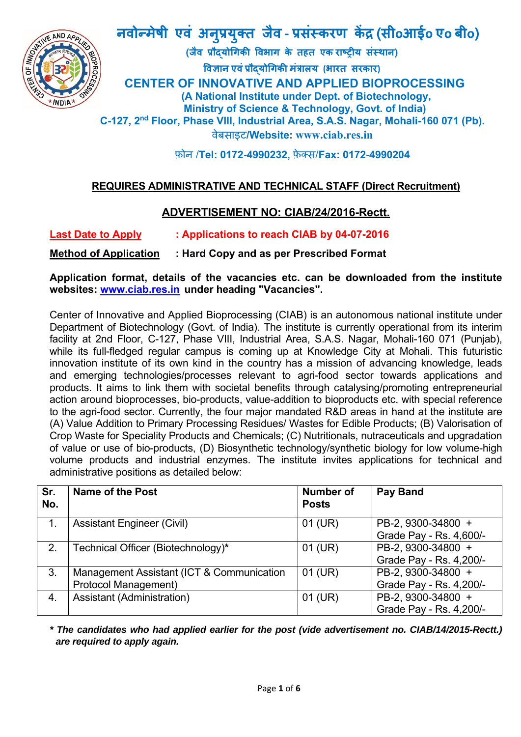

# **नवोÛमेषी एवं अन प्रय क्त जैव ‐ प्रसंèकरण कɅद्र (सीoआईo एo बीo) ु ु** - अणुप्रथुक्त जैव - प्रसंस्करण केंद्र (सीoआईo एo बी<br>बिज्ञान एवं प्रौद्योगिकी विभाग के तहत एक राष्ट्रीय संस्थान)<br>El CENTER OF INNOVATIVE AND APPLIED BIOPROCESSING

**(जैव प्रौɮयोिगकी िवभाग के तहत एक राçट्रीय संèथान) िवज्ञान एवंप्रौɮयोिगकी मंत्रालय (भारत सरकार)**

 **(A National Institute under Dept. of Biotechnology, Ministry of Science & Technology, Govt. of India) C-127, 2nd Floor, Phase VIII, Industrial Area, S.A.S. Nagar, Mohali-160 071 (Pb).**  वेबसाइट**/Website: www.ciab.res.in** 

फ़ोन /**Tel: 0172-4990232,** फ़ेक्स/**Fax: 0172-4990204** 

# **REQUIRES ADMINISTRATIVE AND TECHNICAL STAFF (Direct Recruitment)**

# **ADVERTISEMENT NO: CIAB/24/2016-Rectt.**

**Last Date to Apply : Applications to reach CIAB by 04-07-2016** 

## **Method of Application : Hard Copy and as per Prescribed Format**

**Application format, details of the vacancies etc. can be downloaded from the institute websites: www.ciab.res.in under heading "Vacancies".** 

Center of Innovative and Applied Bioprocessing (CIAB) is an autonomous national institute under Department of Biotechnology (Govt. of India). The institute is currently operational from its interim facility at 2nd Floor, C-127, Phase VIII, Industrial Area, S.A.S. Nagar, Mohali-160 071 (Punjab), while its full-fledged regular campus is coming up at Knowledge City at Mohali. This futuristic innovation institute of its own kind in the country has a mission of advancing knowledge, leads and emerging technologies/processes relevant to agri-food sector towards applications and products. It aims to link them with societal benefits through catalysing/promoting entrepreneurial action around bioprocesses, bio-products, value-addition to bioproducts etc. with special reference to the agri-food sector. Currently, the four major mandated R&D areas in hand at the institute are (A) Value Addition to Primary Processing Residues/ Wastes for Edible Products; (B) Valorisation of Crop Waste for Speciality Products and Chemicals; (C) Nutritionals, nutraceuticals and upgradation of value or use of bio-products, (D) Biosynthetic technology/synthetic biology for low volume-high volume products and industrial enzymes. The institute invites applications for technical and administrative positions as detailed below:

| Sr.<br>No. | Name of the Post                          | <b>Number of</b><br><b>Posts</b> | <b>Pay Band</b>         |
|------------|-------------------------------------------|----------------------------------|-------------------------|
|            | <b>Assistant Engineer (Civil)</b>         | $01$ (UR)                        | PB-2, 9300-34800 +      |
|            |                                           |                                  | Grade Pay - Rs. 4,600/- |
| 2.         | Technical Officer (Biotechnology)*        | $01$ (UR)                        | PB-2, 9300-34800 +      |
|            |                                           |                                  | Grade Pay - Rs. 4,200/- |
| 3.         | Management Assistant (ICT & Communication | $01$ (UR)                        | PB-2, 9300-34800 +      |
|            | Protocol Management)                      |                                  | Grade Pay - Rs. 4,200/- |
| 4.         | Assistant (Administration)                | $01$ (UR)                        | PB-2, 9300-34800 +      |
|            |                                           |                                  | Grade Pay - Rs. 4,200/- |

*\* The candidates who had applied earlier for the post (vide advertisement no. CIAB/14/2015-Rectt.) are required to apply again.*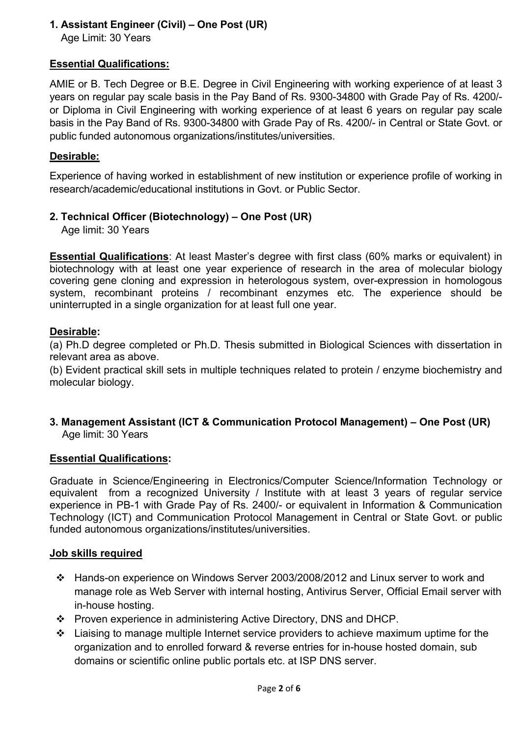## **1. Assistant Engineer (Civil) – One Post (UR)**

Age Limit: 30 Years

## **Essential Qualifications:**

AMIE or B. Tech Degree or B.E. Degree in Civil Engineering with working experience of at least 3 years on regular pay scale basis in the Pay Band of Rs. 9300-34800 with Grade Pay of Rs. 4200/ or Diploma in Civil Engineering with working experience of at least 6 years on regular pay scale basis in the Pay Band of Rs. 9300-34800 with Grade Pay of Rs. 4200/- in Central or State Govt. or public funded autonomous organizations/institutes/universities.

#### **Desirable:**

Experience of having worked in establishment of new institution or experience profile of working in research/academic/educational institutions in Govt. or Public Sector.

## **2. Technical Officer (Biotechnology) – One Post (UR)**

Age limit: 30 Years

**Essential Qualifications**: At least Master's degree with first class (60% marks or equivalent) in biotechnology with at least one year experience of research in the area of molecular biology covering gene cloning and expression in heterologous system, over-expression in homologous system, recombinant proteins / recombinant enzymes etc. The experience should be uninterrupted in a single organization for at least full one year.

#### **Desirable:**

(a) Ph.D degree completed or Ph.D. Thesis submitted in Biological Sciences with dissertation in relevant area as above.

(b) Evident practical skill sets in multiple techniques related to protein / enzyme biochemistry and molecular biology.

**3. Management Assistant (ICT & Communication Protocol Management) – One Post (UR)**  Age limit: 30 Years

#### **Essential Qualifications:**

Graduate in Science/Engineering in Electronics/Computer Science/Information Technology or equivalent from a recognized University / Institute with at least 3 years of regular service experience in PB-1 with Grade Pay of Rs. 2400/- or equivalent in Information & Communication Technology (ICT) and Communication Protocol Management in Central or State Govt. or public funded autonomous organizations/institutes/universities.

#### **Job skills required**

- Hands-on experience on Windows Server 2003/2008/2012 and Linux server to work and manage role as Web Server with internal hosting, Antivirus Server, Official Email server with in-house hosting.
- Proven experience in administering Active Directory, DNS and DHCP.
- Liaising to manage multiple Internet service providers to achieve maximum uptime for the organization and to enrolled forward & reverse entries for in-house hosted domain, sub domains or scientific online public portals etc. at ISP DNS server.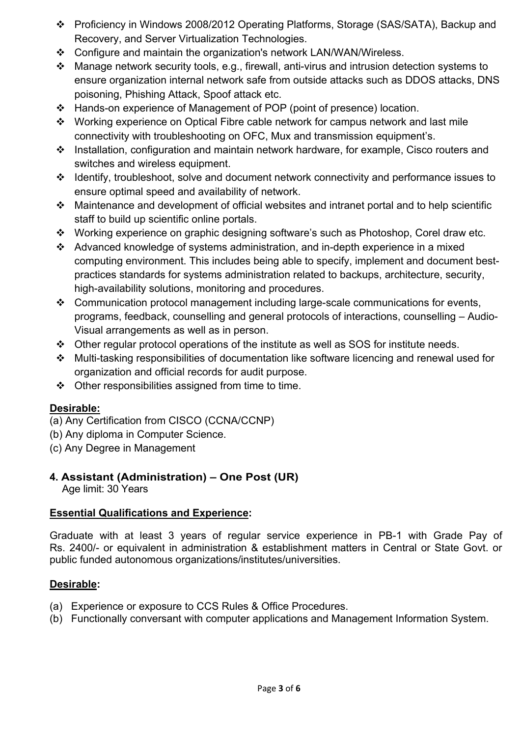- Proficiency in Windows 2008/2012 Operating Platforms, Storage (SAS/SATA), Backup and Recovery, and Server Virtualization Technologies.
- Configure and maintain the organization's network LAN/WAN/Wireless.
- Manage network security tools, e.g., firewall, anti-virus and intrusion detection systems to ensure organization internal network safe from outside attacks such as DDOS attacks, DNS poisoning, Phishing Attack, Spoof attack etc.
- Hands-on experience of Management of POP (point of presence) location.
- Working experience on Optical Fibre cable network for campus network and last mile connectivity with troubleshooting on OFC, Mux and transmission equipment's.
- Installation, configuration and maintain network hardware, for example, Cisco routers and switches and wireless equipment.
- Identify, troubleshoot, solve and document network connectivity and performance issues to ensure optimal speed and availability of network.
- Maintenance and development of official websites and intranet portal and to help scientific staff to build up scientific online portals.
- Working experience on graphic designing software's such as Photoshop, Corel draw etc.
- Advanced knowledge of systems administration, and in-depth experience in a mixed computing environment. This includes being able to specify, implement and document bestpractices standards for systems administration related to backups, architecture, security, high-availability solutions, monitoring and procedures.
- Communication protocol management including large-scale communications for events, programs, feedback, counselling and general protocols of interactions, counselling – Audio-Visual arrangements as well as in person.
- Other regular protocol operations of the institute as well as SOS for institute needs.
- Multi-tasking responsibilities of documentation like software licencing and renewal used for organization and official records for audit purpose.
- $\div$  Other responsibilities assigned from time to time.

## **Desirable:**

- (a) Any Certification from CISCO (CCNA/CCNP)
- (b) Any diploma in Computer Science.
- (c) Any Degree in Management

# **4. Assistant (Administration) – One Post (UR)**

Age limit: 30 Years

## **Essential Qualifications and Experience:**

Graduate with at least 3 years of regular service experience in PB-1 with Grade Pay of Rs. 2400/- or equivalent in administration & establishment matters in Central or State Govt. or public funded autonomous organizations/institutes/universities.

## **Desirable:**

- (a) Experience or exposure to CCS Rules & Office Procedures.
- (b) Functionally conversant with computer applications and Management Information System.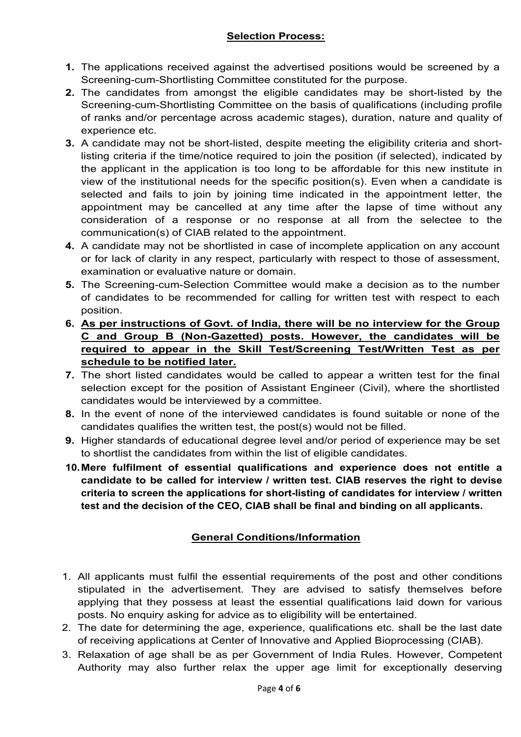#### **Selection Process:**

- **1.** The applications received against the advertised positions would be screened by a Screening-cum-Shortlisting Committee constituted for the purpose.
- **2.** The candidates from amongst the eligible candidates may be short-listed by the Screening-cum-Shortlisting Committee on the basis of qualifications (including profile of ranks and/or percentage across academic stages), duration, nature and quality of experience etc.
- **3.** A candidate may not be short-listed, despite meeting the eligibility criteria and shortlisting criteria if the time/notice required to join the position (if selected), indicated by the applicant in the application is too long to be affordable for this new institute in view of the institutional needs for the specific position(s). Even when a candidate is selected and fails to join by joining time indicated in the appointment letter, the appointment may be cancelled at any time after the lapse of time without any consideration of a response or no response at all from the selectee to the communication(s) of CIAB related to the appointment.
- **4.** A candidate may not be shortlisted in case of incomplete application on any account or for lack of clarity in any respect, particularly with respect to those of assessment, examination or evaluative nature or domain.
- **5.** The Screening-cum-Selection Committee would make a decision as to the number of candidates to be recommended for calling for written test with respect to each position.
- **6. As per instructions of Govt. of India, there will be no interview for the Group C and Group B (Non-Gazetted) posts. However, the candidates will be required to appear in the Skill Test/Screening Test/Written Test as per schedule to be notified later.**
- **7.** The short listed candidates would be called to appear a written test for the final selection except for the position of Assistant Engineer (Civil), where the shortlisted candidates would be interviewed by a committee.
- **8.** In the event of none of the interviewed candidates is found suitable or none of the candidates qualifies the written test, the post(s) would not be filled.
- **9.** Higher standards of educational degree level and/or period of experience may be set to shortlist the candidates from within the list of eligible candidates.
- **10. Mere fulfilment of essential qualifications and experience does not entitle a candidate to be called for interview / written test. CIAB reserves the right to devise criteria to screen the applications for short-listing of candidates for interview / written test and the decision of the CEO, CIAB shall be final and binding on all applicants.**

#### **General Conditions/Information**

- 1. All applicants must fulfil the essential requirements of the post and other conditions stipulated in the advertisement. They are advised to satisfy themselves before applying that they possess at least the essential qualifications laid down for various posts. No enquiry asking for advice as to eligibility will be entertained.
- 2. The date for determining the age, experience, qualifications etc. shall be the last date of receiving applications at Center of Innovative and Applied Bioprocessing (CIAB).
- 3. Relaxation of age shall be as per Government of India Rules. However, Competent Authority may also further relax the upper age limit for exceptionally deserving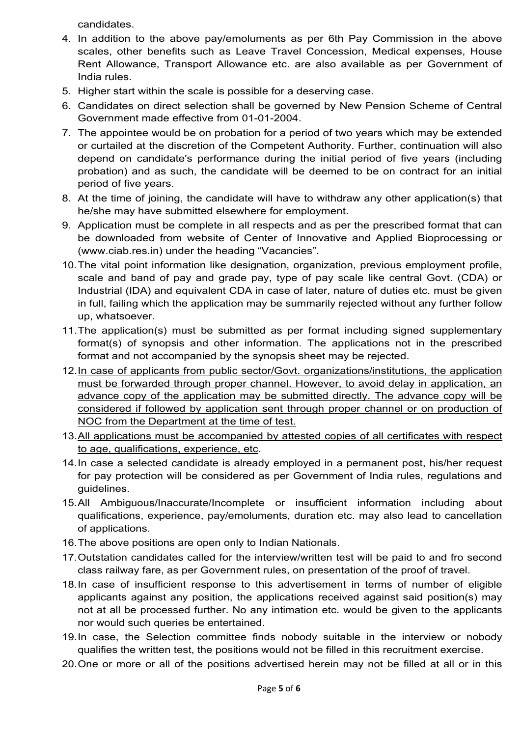candidates.

- 4. In addition to the above pay/emoluments as per 6th Pay Commission in the above scales, other benefits such as Leave Travel Concession, Medical expenses, House Rent Allowance, Transport Allowance etc. are also available as per Government of India rules.
- 5. Higher start within the scale is possible for a deserving case.
- 6. Candidates on direct selection shall be governed by New Pension Scheme of Central Government made effective from 01-01-2004.
- 7. The appointee would be on probation for a period of two years which may be extended or curtailed at the discretion of the Competent Authority. Further, continuation will also depend on candidate's performance during the initial period of five years (including probation) and as such, the candidate will be deemed to be on contract for an initial period of five years.
- 8. At the time of joining, the candidate will have to withdraw any other application(s) that he/she may have submitted elsewhere for employment.
- 9. Application must be complete in all respects and as per the prescribed format that can be downloaded from website of Center of Innovative and Applied Bioprocessing or (www.ciab.res.in) under the heading "Vacancies".
- 10. The vital point information like designation, organization, previous employment profile, scale and band of pay and grade pay, type of pay scale like central Govt. (CDA) or Industrial (IDA) and equivalent CDA in case of later, nature of duties etc. must be given in full, failing which the application may be summarily rejected without any further follow up, whatsoever.
- 11. The application(s) must be submitted as per format including signed supplementary format(s) of synopsis and other information. The applications not in the prescribed format and not accompanied by the synopsis sheet may be rejected.
- 12. In case of applicants from public sector/Govt. organizations/institutions, the application must be forwarded through proper channel. However, to avoid delay in application, an advance copy of the application may be submitted directly. The advance copy will be considered if followed by application sent through proper channel or on production of NOC from the Department at the time of test.
- 13. All applications must be accompanied by attested copies of all certificates with respect to age, qualifications, experience, etc.
- 14. In case a selected candidate is already employed in a permanent post, his/her request for pay protection will be considered as per Government of India rules, regulations and guidelines.
- 15. All Ambiguous/Inaccurate/Incomplete or insufficient information including about qualifications, experience, pay/emoluments, duration etc. may also lead to cancellation of applications.
- 16. The above positions are open only to Indian Nationals.
- 17. Outstation candidates called for the interview/written test will be paid to and fro second class railway fare, as per Government rules, on presentation of the proof of travel.
- 18. In case of insufficient response to this advertisement in terms of number of eligible applicants against any position, the applications received against said position(s) may not at all be processed further. No any intimation etc. would be given to the applicants nor would such queries be entertained.
- 19. In case, the Selection committee finds nobody suitable in the interview or nobody qualifies the written test, the positions would not be filled in this recruitment exercise.
- 20. One or more or all of the positions advertised herein may not be filled at all or in this